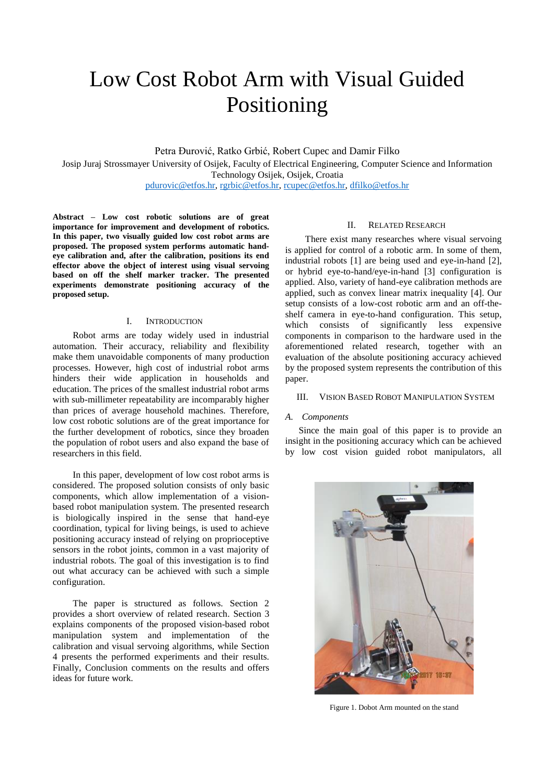# Low Cost Robot Arm with Visual Guided Positioning

Petra Đurović, Ratko Grbić, Robert Cupec and Damir Filko Josip Juraj Strossmayer University of Osijek, Faculty of Electrical Engineering, Computer Science and Information Technology Osijek, Osijek, Croatia [pdurovic@etfos.hr,](mailto:pdurovic@etfos.hr) [rgrbic@etfos.hr,](mailto:rgrbic@etfos.hr) [rcupec@etfos.hr,](mailto:rcupec@etfos.hr) [dfilko@etfos.hr](mailto:dfilko@etfos.hr)

**Abstract – Low cost robotic solutions are of great importance for improvement and development of robotics. In this paper, two visually guided low cost robot arms are proposed. The proposed system performs automatic handeye calibration and, after the calibration, positions its end effector above the object of interest using visual servoing based on off the shelf marker tracker. The presented experiments demonstrate positioning accuracy of the proposed setup.**

# I. INTRODUCTION

Robot arms are today widely used in industrial automation. Their accuracy, reliability and flexibility make them unavoidable components of many production processes. However, high cost of industrial robot arms hinders their wide application in households and education. The prices of the smallest industrial robot arms with sub-millimeter repeatability are incomparably higher than prices of average household machines. Therefore, low cost robotic solutions are of the great importance for the further development of robotics, since they broaden the population of robot users and also expand the base of researchers in this field.

In this paper, development of low cost robot arms is considered. The proposed solution consists of only basic components, which allow implementation of a visionbased robot manipulation system. The presented research is biologically inspired in the sense that hand-eye coordination, typical for living beings, is used to achieve positioning accuracy instead of relying on proprioceptive sensors in the robot joints, common in a vast majority of industrial robots. The goal of this investigation is to find out what accuracy can be achieved with such a simple configuration.

The paper is structured as follows. Section 2 provides a short overview of related research. Section 3 explains components of the proposed vision-based robot manipulation system and implementation of the calibration and visual servoing algorithms, while Section 4 presents the performed experiments and their results. Finally, Conclusion comments on the results and offers ideas for future work.

## II. RELATED RESEARCH

There exist many researches where visual servoing is applied for control of a robotic arm. In some of them, industrial robots [1] are being used and eye-in-hand [2], or hybrid eye-to-hand/eye-in-hand [3] configuration is applied. Also, variety of hand-eye calibration methods are applied, such as convex linear matrix inequality [4]. Our setup consists of a low-cost robotic arm and an off-theshelf camera in eye-to-hand configuration. This setup, which consists of significantly less expensive components in comparison to the hardware used in the aforementioned related research, together with an evaluation of the absolute positioning accuracy achieved by the proposed system represents the contribution of this paper.

#### III. VISION BASED ROBOT MANIPULATION SYSTEM

#### *A. Components*

Since the main goal of this paper is to provide an insight in the positioning accuracy which can be achieved by low cost vision guided robot manipulators, all



Figure 1. Dobot Arm mounted on the stand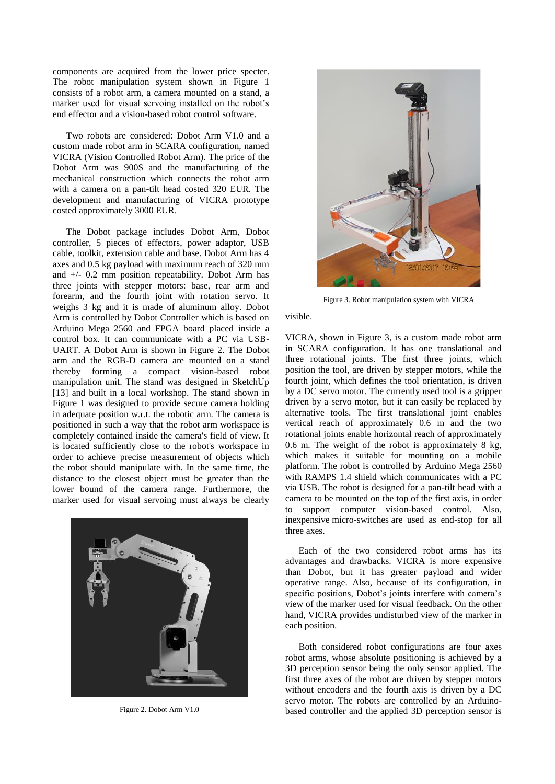components are acquired from the lower price specter. The robot manipulation system shown in Figure 1 consists of a robot arm, a camera mounted on a stand, a marker used for visual servoing installed on the robot's end effector and a vision-based robot control software.

Two robots are considered: Dobot Arm V1.0 and a custom made robot arm in SCARA configuration, named VICRA (Vision Controlled Robot Arm). The price of the Dobot Arm was 900\$ and the manufacturing of the mechanical construction which connects the robot arm with a camera on a pan-tilt head costed 320 EUR. The development and manufacturing of VICRA prototype costed approximately 3000 EUR.

The Dobot package includes Dobot Arm, Dobot controller, 5 pieces of effectors, power adaptor, USB cable, toolkit, extension cable and base. Dobot Arm has 4 axes and 0.5 kg payload with maximum reach of 320 mm and +/- 0.2 mm position repeatability. Dobot Arm has three joints with stepper motors: base, rear arm and forearm, and the fourth joint with rotation servo. It weighs 3 kg and it is made of aluminum alloy. Dobot Arm is controlled by Dobot Controller which is based on Arduino Mega 2560 and FPGA board placed inside a control box. It can communicate with a PC via USB-UART. A Dobot Arm is shown in Figure 2. The Dobot arm and the RGB-D camera are mounted on a stand thereby forming a compact vision-based robot manipulation unit. The stand was designed in SketchUp [13] and built in a local workshop. The stand shown in Figure 1 was designed to provide secure camera holding in adequate position w.r.t. the robotic arm. The camera is positioned in such a way that the robot arm workspace is completely contained inside the camera's field of view. It is located sufficiently close to the robot's workspace in order to achieve precise measurement of objects which the robot should manipulate with. In the same time, the distance to the closest object must be greater than the lower bound of the camera range. Furthermore, the marker used for visual servoing must always be clearly





Figure 3. Robot manipulation system with VICRA

visible.

VICRA, shown in Figure 3, is a custom made robot arm in SCARA configuration. It has one translational and three rotational joints. The first three joints, which position the tool, are driven by stepper motors, while the fourth joint, which defines the tool orientation, is driven by a DC servo motor. The currently used tool is a gripper driven by a servo motor, but it can easily be replaced by alternative tools. The first translational joint enables vertical reach of approximately 0.6 m and the two rotational joints enable horizontal reach of approximately 0.6 m. The weight of the robot is approximately 8 kg, which makes it suitable for mounting on a mobile platform. The robot is controlled by Arduino Mega 2560 with RAMPS 1.4 shield which communicates with a PC via USB. The robot is designed for a pan-tilt head with a camera to be mounted on the top of the first axis, in order to support computer vision-based control. Also, inexpensive micro-switches are used as end-stop for all three axes.

Each of the two considered robot arms has its advantages and drawbacks. VICRA is more expensive than Dobot, but it has greater payload and wider operative range. Also, because of its configuration, in specific positions, Dobot's joints interfere with camera's view of the marker used for visual feedback. On the other hand, VICRA provides undisturbed view of the marker in each position.

Both considered robot configurations are four axes robot arms, whose absolute positioning is achieved by a 3D perception sensor being the only sensor applied. The first three axes of the robot are driven by stepper motors without encoders and the fourth axis is driven by a DC servo motor. The robots are controlled by an Arduino-Figure 2. Dobot Arm V1.0 based controller and the applied 3D perception sensor is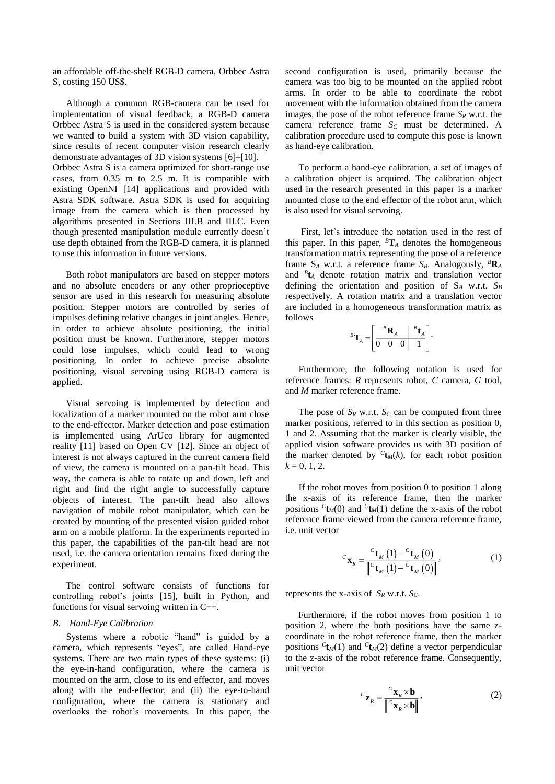an affordable off-the-shelf RGB-D camera, Orbbec Astra S, costing 150 US\$.

Although a common RGB-camera can be used for implementation of visual feedback, a RGB-D camera Orbbec Astra S is used in the considered system because we wanted to build a system with 3D vision capability, since results of recent computer vision research clearly demonstrate advantages of 3D vision systems [6]–[10]. Orbbec Astra S is a camera optimized for short-range use cases, from 0.35 m to 2.5 m. It is compatible with existing OpenNI [14] applications and provided with Astra SDK software. Astra SDK is used for acquiring image from the camera which is then processed by algorithms presented in Sections III.B and III.C. Even though presented manipulation module currently doesn't use depth obtained from the RGB-D camera, it is planned to use this information in future versions.

Both robot manipulators are based on stepper motors and no absolute encoders or any other proprioceptive sensor are used in this research for measuring absolute position. Stepper motors are controlled by series of impulses defining relative changes in joint angles. Hence, in order to achieve absolute positioning, the initial position must be known. Furthermore, stepper motors could lose impulses, which could lead to wrong positioning. In order to achieve precise absolute positioning, visual servoing using RGB-D camera is applied.

Visual servoing is implemented by detection and localization of a marker mounted on the robot arm close to the end-effector. Marker detection and pose estimation is implemented using ArUco library for augmented reality [11] based on Open CV [12]. Since an object of interest is not always captured in the current camera field of view, the camera is mounted on a pan-tilt head. This way, the camera is able to rotate up and down, left and right and find the right angle to successfully capture objects of interest. The pan-tilt head also allows navigation of mobile robot manipulator, which can be created by mounting of the presented vision guided robot arm on a mobile platform. In the experiments reported in this paper, the capabilities of the pan-tilt head are not used, i.e. the camera orientation remains fixed during the experiment.

The control software consists of functions for controlling robot's joints [15], built in Python, and functions for visual servoing written in C++.

#### *B. Hand-Eye Calibration*

Systems where a robotic "hand" is guided by a camera, which represents "eyes", are called Hand-eye systems. There are two main types of these systems: (i) the eye-in-hand configuration, where the camera is mounted on the arm, close to its end effector, and moves along with the end-effector, and (ii) the eye-to-hand configuration, where the camera is stationary and overlooks the robot's movements. In this paper, the second configuration is used, primarily because the camera was too big to be mounted on the applied robot arms. In order to be able to coordinate the robot movement with the information obtained from the camera images, the pose of the robot reference frame *S<sup>R</sup>* w.r.t. the camera reference frame *S<sup>C</sup>* must be determined. A calibration procedure used to compute this pose is known as hand-eye calibration.

To perform a hand-eye calibration, a set of images of a calibration object is acquired. The calibration object used in the research presented in this paper is a marker mounted close to the end effector of the robot arm, which is also used for visual servoing.

First, let's introduce the notation used in the rest of this paper. In this paper,  ${}^B\mathbf{T}_A$  denotes the homogeneous transformation matrix representing the pose of a reference frame  $S_A$  w.r.t. a reference frame  $S_B$ . Analogously,  ${}^B\mathbf{R}_A$ and *<sup>B</sup>* **t***<sup>A</sup>* denote rotation matrix and translation vector defining the orientation and position of S*<sup>A</sup>* w.r.t. *S<sup>B</sup>* respectively. A rotation matrix and a translation vector are included in a homogeneous transformation matrix as follows

$$
{}^{B}\mathbf{T}_{A} = \left[\begin{array}{c|c} {}^{B}\mathbf{R}_{A} & {}^{B}\mathbf{t}_{A} \\ \hline 0 & 0 & 0 & 1 \end{array}\right].
$$

Furthermore, the following notation is used for reference frames: *R* represents robot, *C* camera, *G* tool, and *M* marker reference frame.

The pose of  $S_R$  w.r.t.  $S_C$  can be computed from three marker positions, referred to in this section as position 0, 1 and 2. Assuming that the marker is clearly visible, the applied vision software provides us with 3D position of the marker denoted by  ${}^{C}$ **t**<sub>*M</sub>*(*k*), for each robot position</sub>  $k = 0, 1, 2.$ 

If the robot moves from position 0 to position 1 along the x-axis of its reference frame, then the marker positions  ${}^{c}$ **t**<sub>*M*</sub>(0) and  ${}^{c}$ **t**<sub>*M*</sub>(1) define the x-axis of the robot reference frame viewed from the camera reference frame, i.e. unit vector

$$
c_{\mathbf{X}_R} = \frac{c_{\mathbf{t}_M} (1) - c_{\mathbf{t}_M} (0)}{\left\| c_{\mathbf{t}_M} (1) - c_{\mathbf{t}_M} (0) \right\|},\tag{1}
$$

represents the x-axis of *S<sup>R</sup>* w.r.t. *SC*.

Furthermore, if the robot moves from position 1 to position 2, where the both positions have the same zcoordinate in the robot reference frame, then the marker positions  $c_{\mathbf{t}_M(1)}$  and  $c_{\mathbf{t}_M(2)}$  define a vector perpendicular to the z-axis of the robot reference frame. Consequently, unit vector

$$
c_{\mathbf{Z}_R} = \frac{c_{\mathbf{X}_R} \times \mathbf{b}}{\left\| c_{\mathbf{X}_R} \times \mathbf{b} \right\|},
$$
 (2)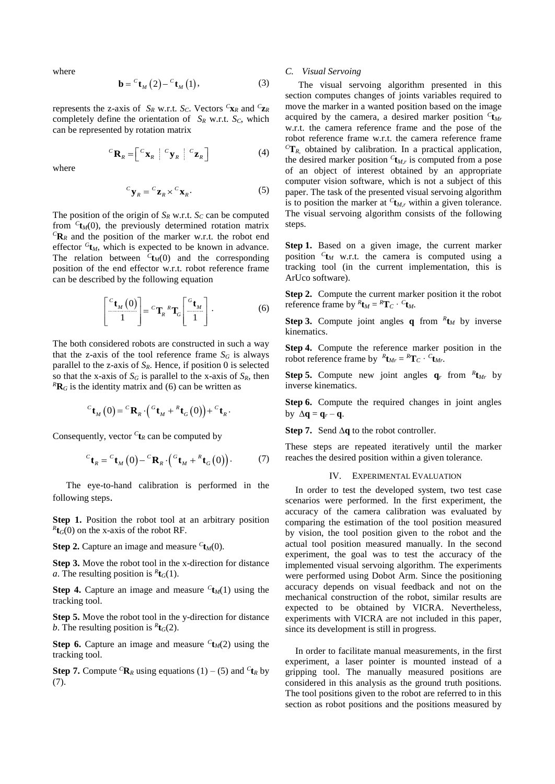where

$$
\mathbf{b} = {}^{c} \mathbf{t}_{M} (2) - {}^{c} \mathbf{t}_{M} (1), \tag{3}
$$

represents the z-axis of  $S_R$  w.r.t.  $S_C$ . Vectors  ${}^C\mathbf{x}_R$  and  ${}^C\mathbf{z}_R$ completely define the orientation of  $S_R$  w.r.t.  $S_C$ , which can be represented by rotation matrix

$$
{}^{C}\mathbf{R}_{R} = \begin{bmatrix} {}^{C}\mathbf{x}_{R} & {}^{C}\mathbf{y}_{R} & {}^{C}\mathbf{z}_{R} \end{bmatrix}
$$
 (4)

where

$$
{}^{C}\mathbf{y}_{R} = {}^{C}\mathbf{z}_{R} \times {}^{C}\mathbf{x}_{R}.
$$
 (5)

The position of the origin of  $S_R$  w.r.t.  $S_C$  can be computed from  ${}^{C}$ **t**<sub>*M*</sub>(0), the previously determined rotation matrix  ${}^{C}$ **R**<sub>*R*</sub> and the position of the marker w.r.t. the robot end effector  ${}^{G}$ **t**<sub>*M*</sub>, which is expected to be known in advance. The relation between  ${}^{C}$ **t**<sub>*M*</sub>(0) and the corresponding position of the end effector w.r.t. robot reference frame can be described by the following equation

$$
\left[\frac{c_{\mathbf{t}_M}(0)}{1}\right] = {^c\mathbf{T}_R} {^R\mathbf{T}_G} \left[\frac{^{c_{\mathbf{t}_M}}}{1}\right].
$$
 (6)

The both considered robots are constructed in such a way that the z-axis of the tool reference frame  $S_G$  is always parallel to the z-axis of *SR*. Hence, if position 0 is selected so that the x-axis of  $S_G$  is parallel to the x-axis of  $S_R$ , then  ${}^{R}$ **R**<sup>*G*</sup> is the identity matrix and (6) can be written as

$$
{}^{C}\mathbf{t}_{M}\left(0\right) = {}^{C}\mathbf{R}_{R}\cdot\left({}^{G}\mathbf{t}_{M} + {}^{R}\mathbf{t}_{G}\left(0\right)\right) + {}^{C}\mathbf{t}_{R}\cdot
$$

Consequently, vector  ${}^{C}$ **t**<sub>*R*</sub> can be computed by

$$
{}^{C}\mathbf{t}_{R} = {}^{C}\mathbf{t}_{M}(0) - {}^{C}\mathbf{R}_{R} \cdot ({}^{G}\mathbf{t}_{M} + {}^{R}\mathbf{t}_{G}(0)). \tag{7}
$$

The eye-to-hand calibration is performed in the following steps.

**Step 1.** Position the robot tool at an arbitrary position  $R_{\text{tG}}(0)$  on the x-axis of the robot RF.

**Step 2.** Capture an image and measure  ${}^{c}$ **t**<sub>*M*</sub>(0).

**Step 3.** Move the robot tool in the x-direction for distance *a*. The resulting position is  ${}^R$ **t** $_G$ (1).

**Step 4.** Capture an image and measure  $c_{\mathbf{t}}(1)$  using the tracking tool.

**Step 5.** Move the robot tool in the y-direction for distance *b*. The resulting position is  ${}^R$ **t** $_G$ (2).

**Step 6.** Capture an image and measure  $c_{\mathbf{t}}(2)$  using the tracking tool.

**Step 7.** Compute <sup>C</sup>**R**<sub>*R*</sub> using equations (1) – (5) and <sup>C</sup>**t**<sub>*R*</sub> by (7).

### *C. Visual Servoing*

The visual servoing algorithm presented in this section computes changes of joints variables required to move the marker in a wanted position based on the image acquired by the camera, a desired marker position *<sup>C</sup>* **t***Mr* w.r.t. the camera reference frame and the pose of the robot reference frame w.r.t. the camera reference frame  ${}^{C}T_{R}$  obtained by calibration. In a practical application, the desired marker position  ${}^{C}$ **t**<sub>*M*</sub>, is computed from a pose of an object of interest obtained by an appropriate computer vision software, which is not a subject of this paper. The task of the presented visual servoing algorithm is to position the marker at  $c_{\mathbf{t}_{M,r}}$  within a given tolerance. The visual servoing algorithm consists of the following steps.

**Step 1.** Based on a given image, the current marker position *<sup>C</sup>* **t***<sup>M</sup>* w.r.t. the camera is computed using a tracking tool (in the current implementation, this is ArUco software).

**Step 2.** Compute the current marker position it the robot reference frame by  ${}^R$ **t**<sub>*M*</sub> =  ${}^R$ **T**<sub>*C*</sub> ·  ${}^C$ **t**<sub>*M*</sub>.

**Step 3.** Compute joint angles **q** from  ${}^R$ **t**<sub>*M*</sub> by inverse kinematics.

**Step 4.** Compute the reference marker position in the robot reference frame by  ${}^R$ **t**<sub>*Mr*</sub> =  ${}^R$ **T**<sub>*C*</sub> ·  ${}^C$ **t**<sub>*Mr*</sub>.

**Step 5.** Compute new joint angles  $q_r$  from  ${}^R$ **t**<sub>*Mr*</sub> by inverse kinematics.

**Step 6.** Compute the required changes in joint angles by  $\Delta q = q_r - q$ .

**Step 7.** Send  $\Delta q$  to the robot controller.

These steps are repeated iteratively until the marker reaches the desired position within a given tolerance.

#### IV. EXPERIMENTAL EVALUATION

In order to test the developed system, two test case scenarios were performed. In the first experiment, the accuracy of the camera calibration was evaluated by comparing the estimation of the tool position measured by vision, the tool position given to the robot and the actual tool position measured manually. In the second experiment, the goal was to test the accuracy of the implemented visual servoing algorithm. The experiments were performed using Dobot Arm. Since the positioning accuracy depends on visual feedback and not on the mechanical construction of the robot, similar results are expected to be obtained by VICRA. Nevertheless, experiments with VICRA are not included in this paper, since its development is still in progress.

In order to facilitate manual measurements, in the first experiment, a laser pointer is mounted instead of a gripping tool. The manually measured positions are considered in this analysis as the ground truth positions. The tool positions given to the robot are referred to in this section as robot positions and the positions measured by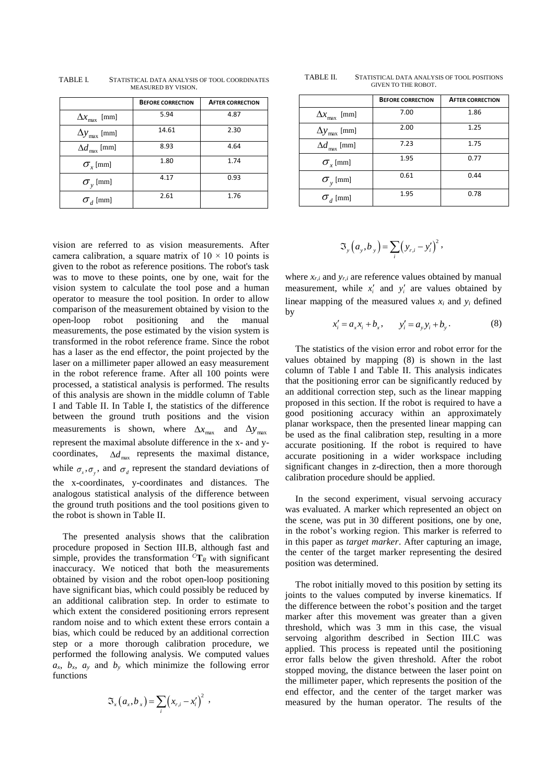|                              | <b>BEFORE CORRECTION</b> | <b>AFTER CORRECTION</b> |
|------------------------------|--------------------------|-------------------------|
| $\Delta x_{\text{max}}$ [mm] | 5.94                     | 4.87                    |
| $\Delta y_{\text{max}}$ [mm] | 14.61                    | 2.30                    |
| $\Delta d_{\rm max}$ [mm]    | 8.93                     | 4.64                    |
| $\sigma_{r}$ [mm]            | 1.80                     | 1.74                    |
| $\sigma_{v}$ [mm]            | 4.17                     | 0.93                    |
| $\sigma_{d}$ [mm]            | 2.61                     | 1.76                    |

TABLE I. STATISTICAL DATA ANALYSIS OF TOOL COORDINATES MEASURED BY VISION.

vision are referred to as vision measurements. After camera calibration, a square matrix of  $10 \times 10$  points is given to the robot as reference positions. The robot's task was to move to these points, one by one, wait for the vision system to calculate the tool pose and a human operator to measure the tool position. In order to allow comparison of the measurement obtained by vision to the open-loop robot positioning and the manual measurements, the pose estimated by the vision system is transformed in the robot reference frame. Since the robot has a laser as the end effector, the point projected by the laser on a millimeter paper allowed an easy measurement in the robot reference frame. After all 100 points were processed, a statistical analysis is performed. The results of this analysis are shown in the middle column of Table I and Table II. In Table I, the statistics of the difference between the ground truth positions and the vision measurements is shown, where  $\Delta x_{\text{max}}$  and  $\Delta y_{\text{max}}$ represent the maximal absolute difference in the x- and ycoordinates,  $\Delta d_{\text{max}}$  represents the maximal distance, while  $\sigma_x$ ,  $\sigma_y$ , and  $\sigma_d$  represent the standard deviations of the x-coordinates, y-coordinates and distances. The analogous statistical analysis of the difference between the ground truth positions and the tool positions given to the robot is shown in Table II.

The presented analysis shows that the calibration procedure proposed in Section III.B, although fast and simple, provides the transformation  ${}^{C}T_R$  with significant inaccuracy. We noticed that both the measurements obtained by vision and the robot open-loop positioning have significant bias, which could possibly be reduced by an additional calibration step. In order to estimate to which extent the considered positioning errors represent random noise and to which extent these errors contain a bias, which could be reduced by an additional correction step or a more thorough calibration procedure, we performed the following analysis. We computed values  $a_x$ ,  $b_x$ ,  $a_y$  and  $b_y$  which minimize the following error functions

$$
\mathfrak{S}_x(a_x,b_x) = \sum_i (x_{r,i} - x'_i)^2 ,
$$

TABLE II. STATISTICAL DATA ANALYSIS OF TOOL POSITIONS GIVEN TO THE ROBOT.

|                                | <b>BEFORE CORRECTION</b> | <b>AFTER CORRECTION</b> |
|--------------------------------|--------------------------|-------------------------|
| $\Delta x$ <sub>max</sub> [mm] | 7.00                     | 1.86                    |
| $\Delta y_{\text{max}}$ [mm]   | 2.00                     | 1.25                    |
| $\Delta d_{\rm max}$ [mm]      | 7.23                     | 1.75                    |
| $\sigma_{\rm r}$ [mm]          | 1.95                     | 0.77                    |
| $\sigma_{v}$ [mm]              | 0.61                     | 0.44                    |
| $\sigma_{d}$ [mm]              | 1.95                     | 0.78                    |

$$
\mathfrak{S}_{y}\left(a_{y},b_{y}\right)=\sum_{i}\left(y_{r,i}-y_{i}'\right)^{2},\,
$$

where  $x_{r,i}$  and  $y_{r,i}$  are reference values obtained by manual measurement, while  $x_i'$  and  $y_i'$  are values obtained by linear mapping of the measured values  $x_i$  and  $y_i$  defined by

$$
x'_{i} = a_{x}x_{i} + b_{x}, \t y'_{i} = a_{y}y_{i} + b_{y}.
$$
 (8)

The statistics of the vision error and robot error for the values obtained by mapping (8) is shown in the last column of Table I and Table II. This analysis indicates that the positioning error can be significantly reduced by an additional correction step, such as the linear mapping proposed in this section. If the robot is required to have a good positioning accuracy within an approximately planar workspace, then the presented linear mapping can be used as the final calibration step, resulting in a more accurate positioning. If the robot is required to have accurate positioning in a wider workspace including significant changes in z-direction, then a more thorough calibration procedure should be applied.

In the second experiment, visual servoing accuracy was evaluated. A marker which represented an object on the scene, was put in 30 different positions, one by one, in the robot's working region. This marker is referred to in this paper as *target marker*. After capturing an image, the center of the target marker representing the desired position was determined.

The robot initially moved to this position by setting its joints to the values computed by inverse kinematics. If the difference between the robot's position and the target marker after this movement was greater than a given threshold, which was 3 mm in this case, the visual servoing algorithm described in Section III.C was applied. This process is repeated until the positioning error falls below the given threshold. After the robot stopped moving, the distance between the laser point on the millimeter paper, which represents the position of the end effector, and the center of the target marker was measured by the human operator. The results of the